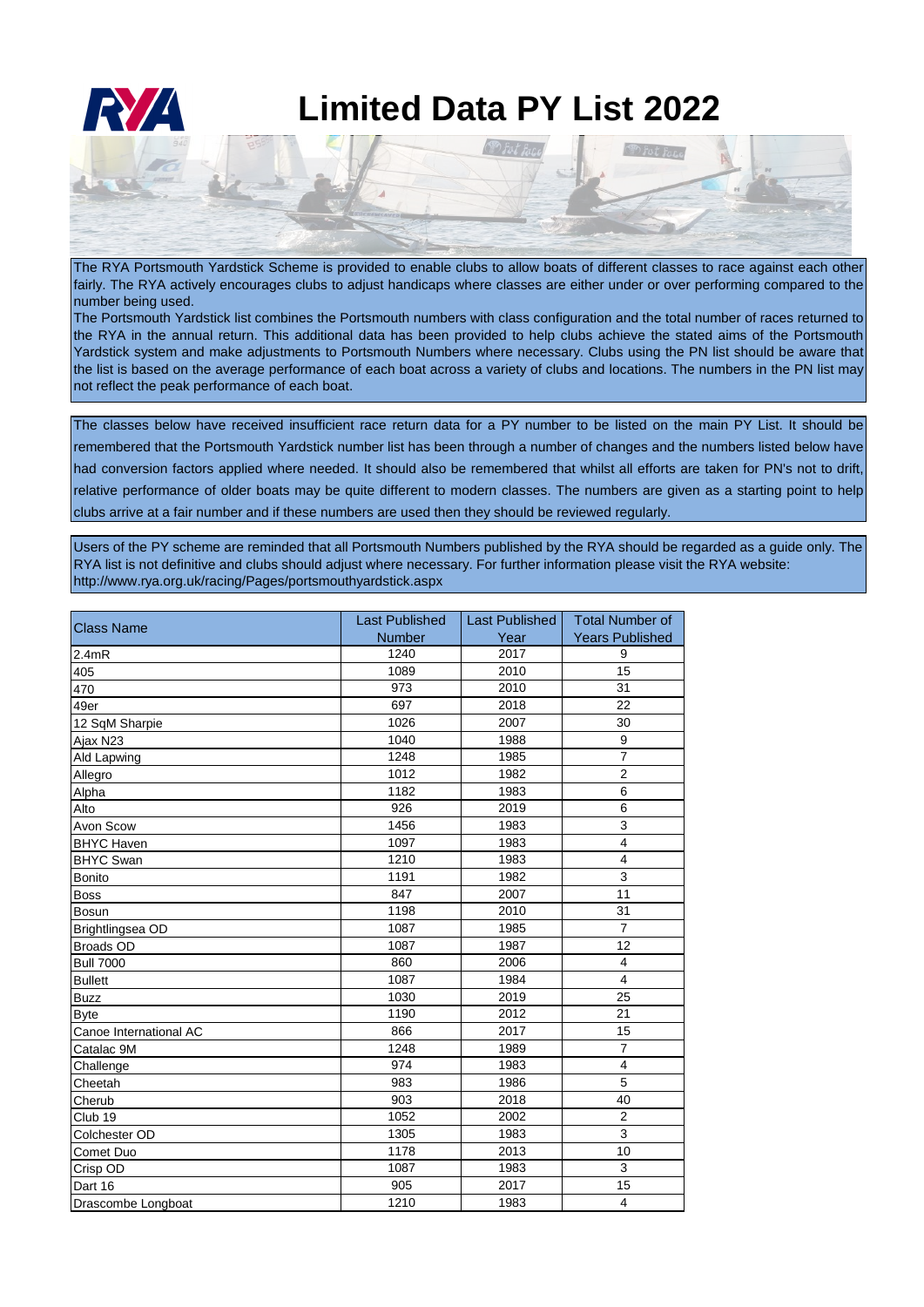

The RYA Portsmouth Yardstick Scheme is provided to enable clubs to allow boats of different classes to race against each other fairly. The RYA actively encourages clubs to adjust handicaps where classes are either under or over performing compared to the number being used.

The Portsmouth Yardstick list combines the Portsmouth numbers with class configuration and the total number of races returned to the RYA in the annual return. This additional data has been provided to help clubs achieve the stated aims of the Portsmouth Yardstick system and make adjustments to Portsmouth Numbers where necessary. Clubs using the PN list should be aware that the list is based on the average performance of each boat across a variety of clubs and locations. The numbers in the PN list may not reflect the peak performance of each boat.

The classes below have received insufficient race return data for a PY number to be listed on the main PY List. It should be remembered that the Portsmouth Yardstick number list has been through a number of changes and the numbers listed below have had conversion factors applied where needed. It should also be remembered that whilst all efforts are taken for PN's not to drift, relative performance of older boats may be quite different to modern classes. The numbers are given as a starting point to help clubs arrive at a fair number and if these numbers are used then they should be reviewed regularly.

Users of the PY scheme are reminded that all Portsmouth Numbers published by the RYA should be regarded as a guide only. The RYA list is not definitive and clubs should adjust where necessary. For further information please visit the RYA website: http://www.rya.org.uk/racing/Pages/portsmouthyardstick.aspx

| <b>Class Name</b>      | <b>Last Published</b> | Last Published | <b>Total Number of</b> |
|------------------------|-----------------------|----------------|------------------------|
|                        | <b>Number</b>         | Year           | <b>Years Published</b> |
| 2.4mR                  | 1240                  | 2017           | 9                      |
| 405                    | 1089                  | 2010           | 15                     |
| 470                    | 973                   | 2010           | 31                     |
| 49er                   | 697                   | 2018           | 22                     |
| 12 SqM Sharpie         | 1026                  | 2007           | 30                     |
| Ajax N23               | 1040                  | 1988           | 9                      |
| Ald Lapwing            | 1248                  | 1985           | $\overline{7}$         |
| Allegro                | 1012                  | 1982           | $\overline{c}$         |
| Alpha                  | 1182                  | 1983           | 6                      |
| Alto                   | 926                   | 2019           | 6                      |
| Avon Scow              | 1456                  | 1983           | 3                      |
| <b>BHYC Haven</b>      | 1097                  | 1983           | $\overline{4}$         |
| <b>BHYC Swan</b>       | 1210                  | 1983           | $\overline{4}$         |
| <b>Bonito</b>          | 1191                  | 1982           | $\mathsf 3$            |
| <b>Boss</b>            | 847                   | 2007           | 11                     |
| <b>Bosun</b>           | 1198                  | 2010           | 31                     |
| Brightlingsea OD       | 1087                  | 1985           | $\overline{7}$         |
| <b>Broads OD</b>       | 1087                  | 1987           | 12                     |
| <b>Bull 7000</b>       | 860                   | 2006           | $\overline{4}$         |
| <b>Bullett</b>         | 1087                  | 1984           | $\overline{4}$         |
| <b>Buzz</b>            | 1030                  | 2019           | 25                     |
| <b>Byte</b>            | 1190                  | 2012           | 21                     |
| Canoe International AC | 866                   | 2017           | 15                     |
| Catalac 9M             | 1248                  | 1989           | $\overline{7}$         |
| Challenge              | 974                   | 1983           | $\overline{4}$         |
| Cheetah                | 983                   | 1986           | $\overline{5}$         |
| Cherub                 | 903                   | 2018           | 40                     |
| Club <sub>19</sub>     | 1052                  | 2002           | $\overline{2}$         |
| Colchester OD          | 1305                  | 1983           | 3                      |
| Comet Duo              | 1178                  | 2013           | 10                     |
| Crisp OD               | 1087                  | 1983           | 3                      |
| Dart 16                | 905                   | 2017           | 15                     |
| Drascombe Longboat     | 1210                  | 1983           | $\overline{4}$         |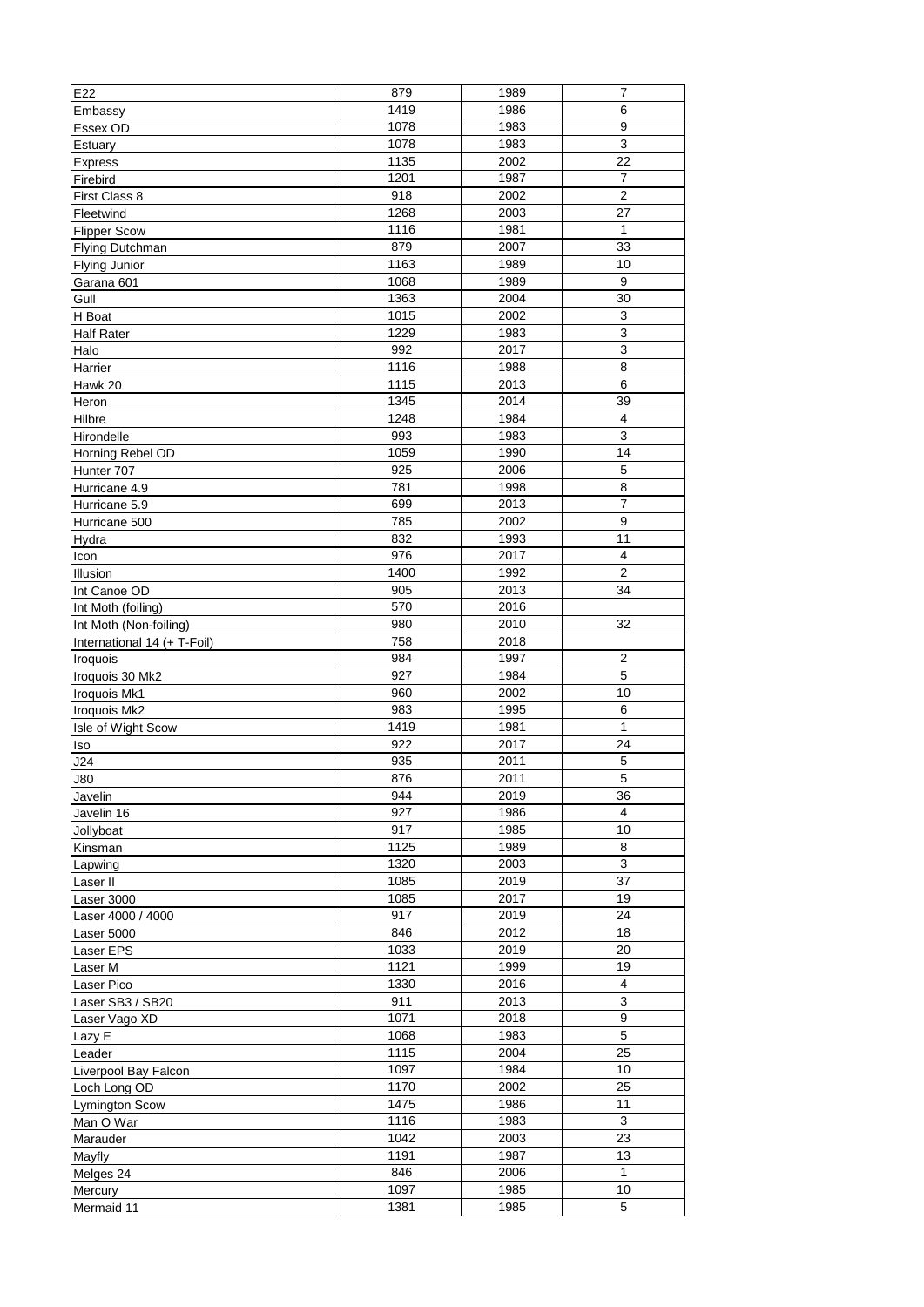| E22                         | 879  | 1989 | 7                         |
|-----------------------------|------|------|---------------------------|
| Embassy                     | 1419 | 1986 | 6                         |
| Essex OD                    | 1078 | 1983 | $\overline{9}$            |
| Estuary                     | 1078 | 1983 | $\ensuremath{\mathsf{3}}$ |
| <b>Express</b>              | 1135 | 2002 | 22                        |
| Firebird                    | 1201 | 1987 | 7                         |
| First Class 8               | 918  | 2002 | $\overline{2}$            |
| Fleetwind                   | 1268 | 2003 | 27                        |
| <b>Flipper Scow</b>         | 1116 | 1981 | $\mathbf{1}$              |
| Flying Dutchman             | 879  | 2007 | 33                        |
| <b>Flying Junior</b>        | 1163 | 1989 | 10                        |
| Garana 601                  | 1068 | 1989 | 9                         |
| Gull                        | 1363 | 2004 | 30                        |
| H Boat                      | 1015 | 2002 | $\mathsf 3$               |
| <b>Half Rater</b>           | 1229 | 1983 | $\mathsf 3$               |
| Halo                        | 992  | 2017 | $\mathsf 3$               |
| Harrier                     | 1116 | 1988 | 8                         |
| Hawk 20                     | 1115 | 2013 | 6                         |
| Heron                       | 1345 | 2014 | 39                        |
| Hilbre                      | 1248 | 1984 | 4                         |
| Hirondelle                  | 993  | 1983 | $\overline{3}$            |
| Horning Rebel OD            | 1059 | 1990 | 14                        |
| Hunter 707                  | 925  | 2006 | 5                         |
| Hurricane 4.9               | 781  | 1998 | 8                         |
| Hurricane 5.9               | 699  | 2013 | 7                         |
| Hurricane 500               | 785  | 2002 | 9                         |
| Hydra                       | 832  | 1993 | 11                        |
| Icon                        | 976  | 2017 | $\overline{4}$            |
| Illusion                    | 1400 | 1992 | $\overline{2}$            |
| Int Canoe OD                | 905  | 2013 | 34                        |
| Int Moth (foiling)          | 570  | 2016 |                           |
| Int Moth (Non-foiling)      | 980  | 2010 | 32                        |
| International 14 (+ T-Foil) | 758  | 2018 |                           |
| Iroquois                    | 984  | 1997 | 2                         |
| Iroquois 30 Mk2             | 927  | 1984 | 5                         |
| Iroquois Mk1                | 960  | 2002 | 10                        |
| Iroquois Mk2                | 983  | 1995 | 6                         |
| Isle of Wight Scow          | 1419 | 1981 | 1                         |
| lso                         | 922  | 2017 | 24                        |
| J24                         | 935  | 2011 | 5                         |
| J80                         | 876  | 2011 | $\overline{5}$            |
| Javelin                     | 944  | 2019 | 36                        |
| Javelin 16                  | 927  | 1986 | 4                         |
| Jollyboat                   | 917  | 1985 | 10                        |
| Kinsman                     | 1125 | 1989 | 8                         |
| Lapwing                     | 1320 | 2003 | $\overline{3}$            |
| Laser II                    | 1085 | 2019 | $\overline{37}$           |
| Laser 3000                  | 1085 | 2017 | 19                        |
| Laser 4000 / 4000           | 917  | 2019 | 24                        |
| Laser 5000                  | 846  | 2012 | 18                        |
| Laser EPS                   | 1033 | 2019 | 20                        |
| Laser M                     | 1121 | 1999 | 19                        |
| <b>Laser Pico</b>           | 1330 | 2016 | 4                         |
| Laser SB3 / SB20            | 911  | 2013 | $\overline{3}$            |
| Laser Vago XD               | 1071 | 2018 | $\boldsymbol{9}$          |
| Lazy E                      | 1068 | 1983 | 5                         |
| Leader                      | 1115 | 2004 | 25                        |
| Liverpool Bay Falcon        | 1097 | 1984 | 10                        |
| Loch Long OD                | 1170 | 2002 | 25                        |
| <b>Lymington Scow</b>       | 1475 | 1986 | 11                        |
| Man O War                   | 1116 | 1983 | $\mathbf{3}$              |
| Marauder                    | 1042 | 2003 | 23                        |
|                             | 1191 | 1987 | 13                        |
| Mayfly<br>Melges 24         | 846  | 2006 | 1                         |
|                             | 1097 | 1985 | 10                        |
| Mercury                     | 1381 | 1985 | $\sqrt{5}$                |
| Mermaid 11                  |      |      |                           |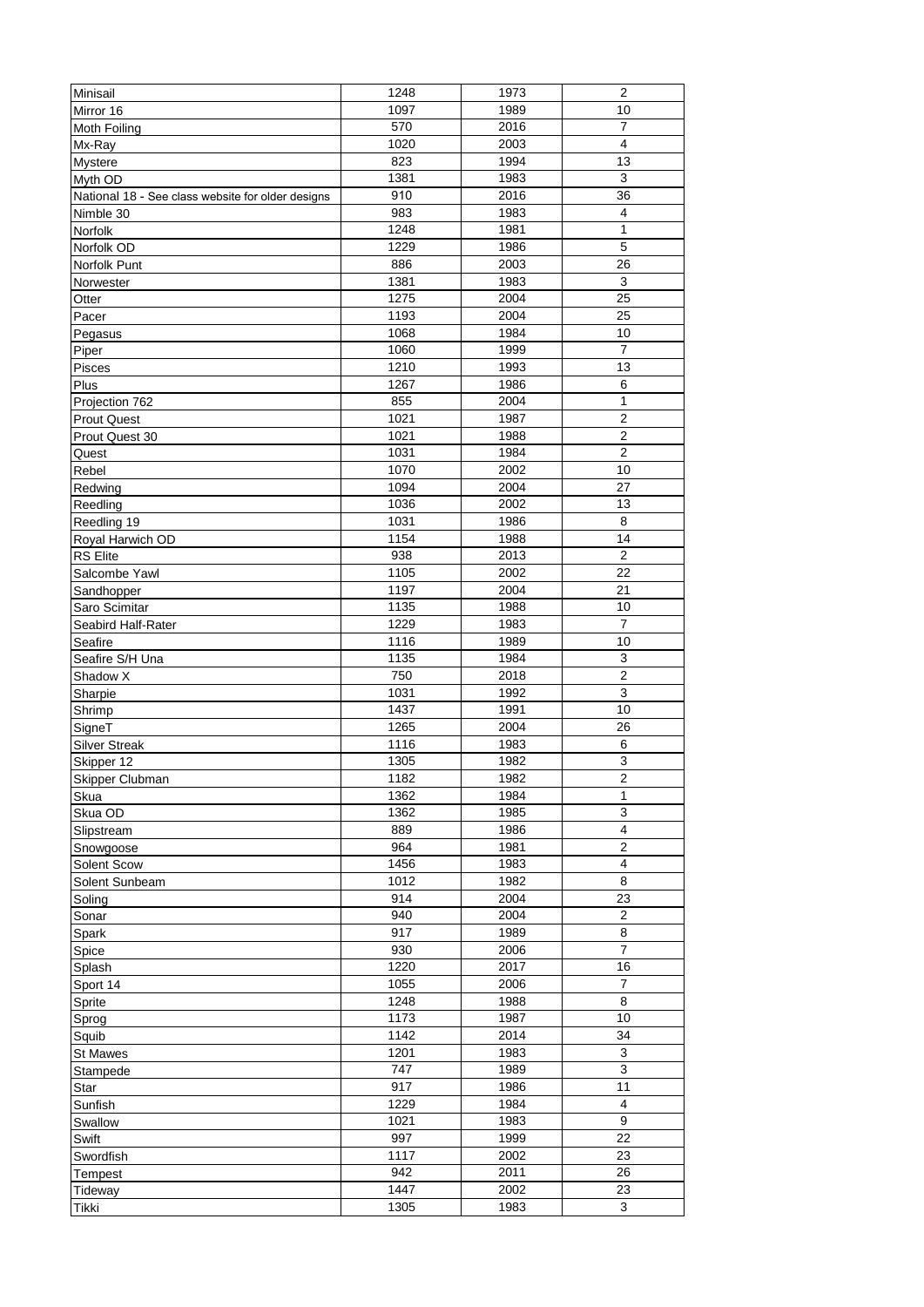| Minisail                                          | 1248 | 1973 | $\overline{2}$          |
|---------------------------------------------------|------|------|-------------------------|
| Mirror 16                                         | 1097 | 1989 | 10                      |
| Moth Foiling                                      | 570  | 2016 | $\overline{7}$          |
| Mx-Ray                                            | 1020 | 2003 | $\overline{4}$          |
| <b>Mystere</b>                                    | 823  | 1994 | 13                      |
| Myth OD                                           | 1381 | 1983 | 3                       |
| National 18 - See class website for older designs | 910  | 2016 | 36                      |
| Nimble 30                                         | 983  | 1983 | $\overline{4}$          |
| Norfolk                                           | 1248 | 1981 | $\mathbf{1}$            |
| Norfolk OD                                        | 1229 | 1986 | 5                       |
| Norfolk Punt                                      | 886  | 2003 | 26                      |
| Norwester                                         | 1381 | 1983 | 3                       |
| Otter                                             | 1275 | 2004 | 25                      |
| Pacer                                             | 1193 | 2004 | 25                      |
| Pegasus                                           | 1068 | 1984 | 10                      |
| Piper                                             | 1060 | 1999 | $\overline{7}$          |
| Pisces                                            | 1210 | 1993 | 13                      |
| Plus                                              | 1267 | 1986 | 6                       |
| Projection 762                                    | 855  | 2004 | 1                       |
| <b>Prout Quest</b>                                | 1021 | 1987 | $\overline{2}$          |
| Prout Quest 30                                    | 1021 | 1988 | $\overline{c}$          |
| Quest                                             | 1031 | 1984 | $\overline{2}$          |
| Rebel                                             | 1070 | 2002 | 10                      |
| Redwing                                           | 1094 | 2004 | 27                      |
| Reedling                                          | 1036 | 2002 | 13                      |
| Reedling 19                                       | 1031 | 1986 | 8                       |
| Royal Harwich OD                                  | 1154 | 1988 | 14                      |
| <b>RS</b> Elite                                   | 938  | 2013 | $\overline{2}$          |
| Salcombe Yawl                                     | 1105 | 2002 | 22                      |
| Sandhopper                                        | 1197 | 2004 | 21                      |
| Saro Scimitar                                     | 1135 | 1988 | 10                      |
| Seabird Half-Rater                                | 1229 | 1983 | 7                       |
| Seafire                                           | 1116 | 1989 | 10                      |
| Seafire S/H Una                                   | 1135 | 1984 | $\mathsf 3$             |
| Shadow X                                          | 750  | 2018 | $\overline{2}$          |
| Sharpie                                           | 1031 | 1992 | 3                       |
| Shrimp                                            | 1437 | 1991 | 10                      |
| SigneT                                            | 1265 | 2004 | 26                      |
| <b>Silver Streak</b>                              | 1116 | 1983 | 6                       |
| Skipper 12                                        | 1305 | 1982 | $\mathsf 3$             |
| Skipper Clubman                                   | 1182 | 1982 | $\overline{2}$          |
| Skua                                              | 1362 | 1984 | $\mathbf{1}$            |
| Skua OD                                           | 1362 | 1985 | 3                       |
| Slipstream                                        | 889  | 1986 | $\overline{\mathbf{4}}$ |
| Snowgoose                                         | 964  | 1981 | $\sqrt{2}$              |
| Solent Scow                                       | 1456 | 1983 | $\overline{4}$          |
| Solent Sunbeam                                    | 1012 | 1982 | 8                       |
| Soling                                            | 914  | 2004 | 23                      |
| Sonar                                             | 940  | 2004 | $\overline{2}$          |
| Spark                                             | 917  | 1989 | 8                       |
| Spice                                             | 930  | 2006 | 7                       |
| Splash                                            | 1220 | 2017 | 16                      |
| Sport 14                                          | 1055 | 2006 | $\overline{7}$          |
| Sprite                                            | 1248 | 1988 | 8                       |
| Sprog                                             | 1173 | 1987 | 10                      |
| Squib                                             | 1142 | 2014 | 34                      |
| <b>St Mawes</b>                                   | 1201 | 1983 | $\sqrt{3}$              |
| Stampede                                          | 747  | 1989 | $\sqrt{3}$              |
| Star                                              | 917  | 1986 | 11                      |
| Sunfish                                           | 1229 | 1984 | $\overline{4}$          |
| Swallow                                           | 1021 | 1983 | $\boldsymbol{9}$        |
| Swift                                             | 997  | 1999 | 22                      |
| Swordfish                                         | 1117 | 2002 | 23                      |
| Tempest                                           | 942  | 2011 | 26                      |
| Tideway                                           | 1447 | 2002 | 23                      |
| Tikki                                             | 1305 | 1983 | 3                       |